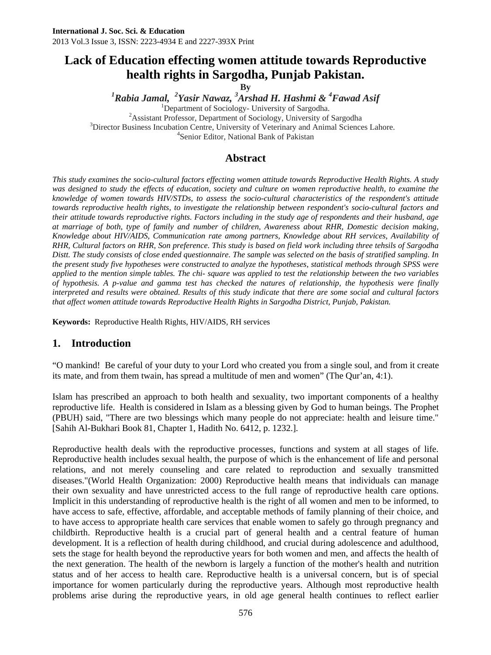# **Lack of Education effecting women attitude towards Reproductive health rights in Sargodha, Punjab Pakistan.**

**By** 

<sup>1</sup> Rabia Jamal, <sup>2</sup> Yasir Nawaz, <sup>3</sup> Arshad H. Hashmi & <sup>4</sup> Fawad Asif **6** 

<sup>1</sup>Department of Sociology- University of Sargodha.  $A$ ssistant Professor, Department of Sociology, University of Sargodha

<sup>3</sup>Director Business Incubation Centre, University of Veterinary and Animal Sciences Lahore.

Senior Editor, National Bank of Pakistan

### **Abstract**

*This study examines the socio-cultural factors effecting women attitude towards Reproductive Health Rights. A study was designed to study the effects of education, society and culture on women reproductive health, to examine the knowledge of women towards HIV/STDs, to assess the socio-cultural characteristics of the respondent's attitude towards reproductive health rights, to investigate the relationship between respondent's socio-cultural factors and their attitude towards reproductive rights. Factors including in the study age of respondents and their husband, age at marriage of both, type of family and number of children, Awareness about RHR, Domestic decision making, Knowledge about HIV/AIDS, Communication rate among partners, Knowledge about RH services, Availability of RHR, Cultural factors on RHR, Son preference. This study is based on field work including three tehsils of Sargodha Distt. The study consists of close ended questionnaire. The sample was selected on the basis of stratified sampling. In the present study five hypotheses were constructed to analyze the hypotheses, statistical methods through SPSS were applied to the mention simple tables. The chi- square was applied to test the relationship between the two variables of hypothesis. A p-value and gamma test has checked the natures of relationship, the hypothesis were finally interpreted and results were obtained. Results of this study indicate that there are some social and cultural factors that affect women attitude towards Reproductive Health Rights in Sargodha District, Punjab, Pakistan.* 

**Keywords:** Reproductive Health Rights, HIV/AIDS, RH services

### **1. Introduction**

"O mankind! Be careful of your duty to your Lord who created you from a single soul, and from it create its mate, and from them twain, has spread a multitude of men and women" (The Qur'an, 4:1).

Islam has prescribed an approach to both health and sexuality, two important components of a healthy reproductive life. Health is considered in Islam as a blessing given by God to human beings. The Prophet (PBUH) said, "There are two blessings which many people do not appreciate: health and leisure time." [Sahih Al-Bukhari Book 81, Chapter 1, Hadith No. 6412, p. 1232.].

Reproductive health deals with the reproductive processes, functions and system at all stages of life. Reproductive health includes sexual health, the purpose of which is the enhancement of life and personal relations, and not merely counseling and care related to reproduction and sexually transmitted diseases."(World Health Organization: 2000) Reproductive health means that individuals can manage their own sexuality and have unrestricted access to the full range of reproductive health care options. Implicit in this understanding of reproductive health is the right of all women and men to be informed, to have access to safe, effective, affordable, and acceptable methods of family planning of their choice, and to have access to appropriate health care services that enable women to safely go through pregnancy and childbirth. Reproductive health is a crucial part of general health and a central feature of human development. It is a reflection of health during childhood, and crucial during adolescence and adulthood, sets the stage for health beyond the reproductive years for both women and men, and affects the health of the next generation. The health of the newborn is largely a function of the mother's health and nutrition status and of her access to health care. Reproductive health is a universal concern, but is of special importance for women particularly during the reproductive years. Although most reproductive health problems arise during the reproductive years, in old age general health continues to reflect earlier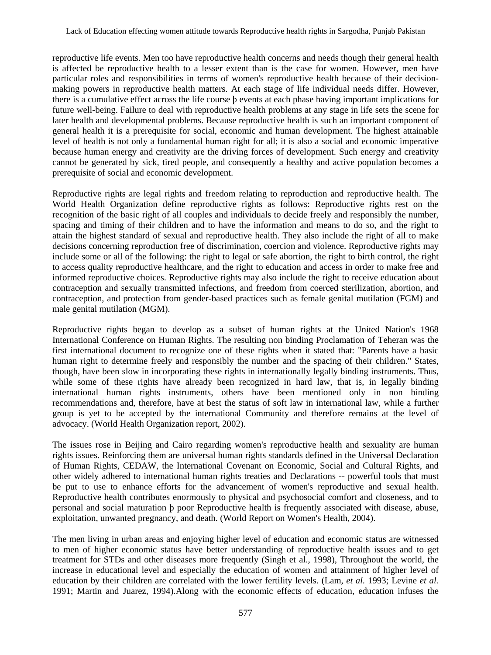reproductive life events. Men too have reproductive health concerns and needs though their general health is affected be reproductive health to a lesser extent than is the case for women. However, men have particular roles and responsibilities in terms of women's reproductive health because of their decisionmaking powers in reproductive health matters. At each stage of life individual needs differ. However, there is a cumulative effect across the life course þ events at each phase having important implications for future well-being. Failure to deal with reproductive health problems at any stage in life sets the scene for later health and developmental problems. Because reproductive health is such an important component of general health it is a prerequisite for social, economic and human development. The highest attainable level of health is not only a fundamental human right for all; it is also a social and economic imperative because human energy and creativity are the driving forces of development. Such energy and creativity cannot be generated by sick, tired people, and consequently a healthy and active population becomes a prerequisite of social and economic development.

Reproductive rights are legal rights and freedom relating to reproduction and reproductive health. The World Health Organization define reproductive rights as follows: Reproductive rights rest on the recognition of the basic right of all couples and individuals to decide freely and responsibly the number, spacing and timing of their children and to have the information and means to do so, and the right to attain the highest standard of sexual and reproductive health. They also include the right of all to make decisions concerning reproduction free of discrimination, coercion and violence. Reproductive rights may include some or all of the following: the right to legal or safe abortion, the right to birth control, the right to access quality reproductive healthcare, and the right to education and access in order to make free and informed reproductive choices. Reproductive rights may also include the right to receive education about contraception and sexually transmitted infections, and freedom from coerced sterilization, abortion, and contraception, and protection from gender-based practices such as female genital mutilation (FGM) and male genital mutilation (MGM).

Reproductive rights began to develop as a subset of human rights at the United Nation's 1968 International Conference on Human Rights. The resulting non binding Proclamation of Teheran was the first international document to recognize one of these rights when it stated that: "Parents have a basic human right to determine freely and responsibly the number and the spacing of their children." States, though, have been slow in incorporating these rights in internationally legally binding instruments. Thus, while some of these rights have already been recognized in hard law, that is, in legally binding international human rights instruments, others have been mentioned only in non binding recommendations and, therefore, have at best the status of soft law in international law, while a further group is yet to be accepted by the international Community and therefore remains at the level of advocacy. (World Health Organization report, 2002).

The issues rose in Beijing and Cairo regarding women's reproductive health and sexuality are human rights issues. Reinforcing them are universal human rights standards defined in the Universal Declaration of Human Rights, CEDAW, the International Covenant on Economic, Social and Cultural Rights, and other widely adhered to international human rights treaties and Declarations -- powerful tools that must be put to use to enhance efforts for the advancement of women's reproductive and sexual health. Reproductive health contributes enormously to physical and psychosocial comfort and closeness, and to personal and social maturation þ poor Reproductive health is frequently associated with disease, abuse, exploitation, unwanted pregnancy, and death. (World Report on Women's Health, 2004).

The men living in urban areas and enjoying higher level of education and economic status are witnessed to men of higher economic status have better understanding of reproductive health issues and to get treatment for STDs and other diseases more frequently (Singh et al., 1998), Throughout the world, the increase in educational level and especially the education of women and attainment of higher level of education by their children are correlated with the lower fertility levels. (Lam, *et al.* 1993; Levine *et al.*  1991; Martin and Juarez, 1994).Along with the economic effects of education, education infuses the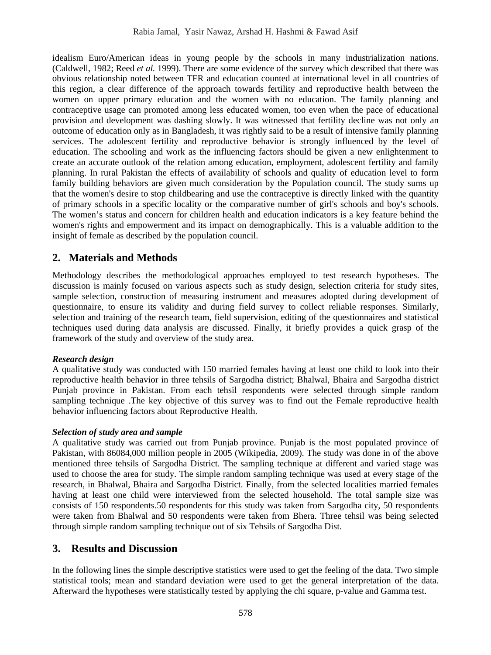idealism Euro/American ideas in young people by the schools in many industrialization nations. (Caldwell, 1982; Reed *et al.* 1999). There are some evidence of the survey which described that there was obvious relationship noted between TFR and education counted at international level in all countries of this region, a clear difference of the approach towards fertility and reproductive health between the women on upper primary education and the women with no education. The family planning and contraceptive usage can promoted among less educated women, too even when the pace of educational provision and development was dashing slowly. It was witnessed that fertility decline was not only an outcome of education only as in Bangladesh, it was rightly said to be a result of intensive family planning services. The adolescent fertility and reproductive behavior is strongly influenced by the level of education. The schooling and work as the influencing factors should be given a new enlightenment to create an accurate outlook of the relation among education, employment, adolescent fertility and family planning. In rural Pakistan the effects of availability of schools and quality of education level to form family building behaviors are given much consideration by the Population council. The study sums up that the women's desire to stop childbearing and use the contraceptive is directly linked with the quantity of primary schools in a specific locality or the comparative number of girl's schools and boy's schools. The women's status and concern for children health and education indicators is a key feature behind the women's rights and empowerment and its impact on demographically. This is a valuable addition to the insight of female as described by the population council.

# **2. Materials and Methods**

Methodology describes the methodological approaches employed to test research hypotheses. The discussion is mainly focused on various aspects such as study design, selection criteria for study sites, sample selection, construction of measuring instrument and measures adopted during development of questionnaire, to ensure its validity and during field survey to collect reliable responses. Similarly, selection and training of the research team, field supervision, editing of the questionnaires and statistical techniques used during data analysis are discussed. Finally, it briefly provides a quick grasp of the framework of the study and overview of the study area.

#### *Research design*

A qualitative study was conducted with 150 married females having at least one child to look into their reproductive health behavior in three tehsils of Sargodha district; Bhalwal, Bhaira and Sargodha district Punjab province in Pakistan. From each tehsil respondents were selected through simple random sampling technique .The key objective of this survey was to find out the Female reproductive health behavior influencing factors about Reproductive Health.

#### *Selection of study area and sample*

A qualitative study was carried out from Punjab province. Punjab is the most populated province of Pakistan, with 86084,000 million people in 2005 (Wikipedia, 2009). The study was done in of the above mentioned three tehsils of Sargodha District. The sampling technique at different and varied stage was used to choose the area for study. The simple random sampling technique was used at every stage of the research, in Bhalwal, Bhaira and Sargodha District. Finally, from the selected localities married females having at least one child were interviewed from the selected household. The total sample size was consists of 150 respondents.50 respondents for this study was taken from Sargodha city, 50 respondents were taken from Bhalwal and 50 respondents were taken from Bhera. Three tehsil was being selected through simple random sampling technique out of six Tehsils of Sargodha Dist.

# **3. Results and Discussion**

In the following lines the simple descriptive statistics were used to get the feeling of the data. Two simple statistical tools; mean and standard deviation were used to get the general interpretation of the data. Afterward the hypotheses were statistically tested by applying the chi square, p-value and Gamma test.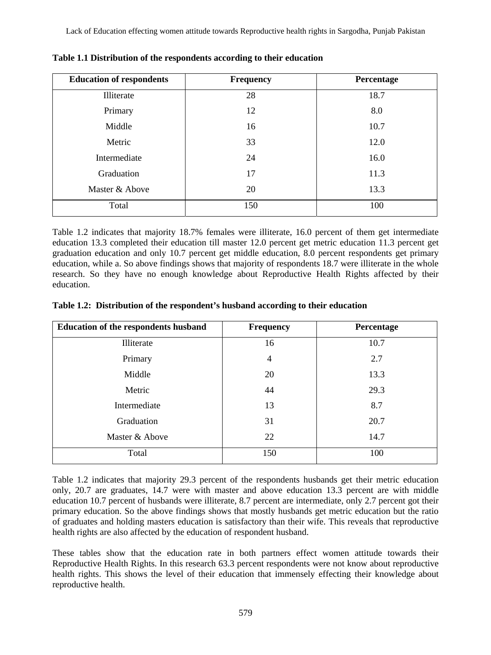| <b>Education of respondents</b> | <b>Frequency</b> | Percentage |
|---------------------------------|------------------|------------|
| Illiterate                      | 28               | 18.7       |
| Primary                         | 12               | 8.0        |
| Middle                          | 16               | 10.7       |
| Metric                          | 33               | 12.0       |
| Intermediate                    | 24               | 16.0       |
| Graduation                      | 17               | 11.3       |
| Master & Above                  | 20               | 13.3       |
| Total                           | 150              | 100        |

**Table 1.1 Distribution of the respondents according to their education** 

Table 1.2 indicates that majority 18.7% females were illiterate, 16.0 percent of them get intermediate education 13.3 completed their education till master 12.0 percent get metric education 11.3 percent get graduation education and only 10.7 percent get middle education, 8.0 percent respondents get primary education, while a. So above findings shows that majority of respondents 18.7 were illiterate in the whole research. So they have no enough knowledge about Reproductive Health Rights affected by their education.

|  | Table 1.2: Distribution of the respondent's husband according to their education |  |  |  |  |  |  |
|--|----------------------------------------------------------------------------------|--|--|--|--|--|--|
|--|----------------------------------------------------------------------------------|--|--|--|--|--|--|

| <b>Education of the respondents husband</b> | <b>Frequency</b> | <b>Percentage</b> |
|---------------------------------------------|------------------|-------------------|
| Illiterate                                  | 16               | 10.7              |
| Primary                                     | $\overline{4}$   | 2.7               |
| Middle                                      | 20               | 13.3              |
| Metric                                      | 44               | 29.3              |
| Intermediate                                | 13               | 8.7               |
| Graduation                                  | 31               | 20.7              |
| Master & Above                              | 22               | 14.7              |
| Total                                       | 150              | 100               |

Table 1.2 indicates that majority 29.3 percent of the respondents husbands get their metric education only, 20.7 are graduates, 14.7 were with master and above education 13.3 percent are with middle education 10.7 percent of husbands were illiterate, 8.7 percent are intermediate, only 2.7 percent got their primary education. So the above findings shows that mostly husbands get metric education but the ratio of graduates and holding masters education is satisfactory than their wife. This reveals that reproductive health rights are also affected by the education of respondent husband.

These tables show that the education rate in both partners effect women attitude towards their Reproductive Health Rights. In this research 63.3 percent respondents were not know about reproductive health rights. This shows the level of their education that immensely effecting their knowledge about reproductive health.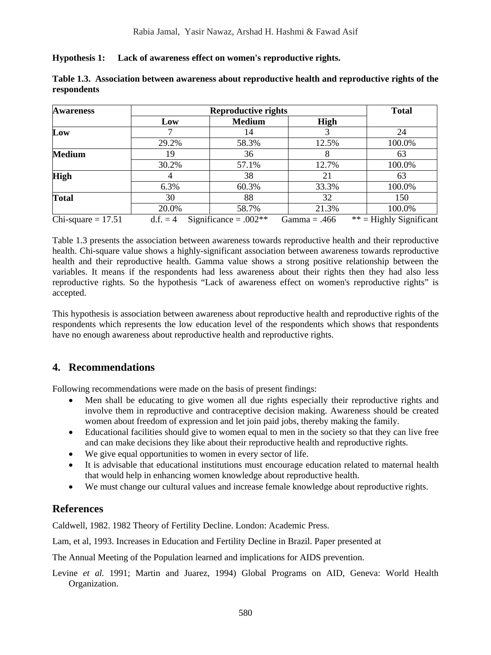**Hypothesis 1: Lack of awareness effect on women's reproductive rights.** 

| <b>Awareness</b>     | <b>Reproductive rights</b> |                         |                | <b>Total</b>              |  |
|----------------------|----------------------------|-------------------------|----------------|---------------------------|--|
|                      | Low                        | <b>Medium</b>           | High           |                           |  |
| Low                  |                            | 14                      |                | 24                        |  |
|                      | 29.2%                      | 58.3%                   | 12.5%          | 100.0%                    |  |
| <b>Medium</b>        | 19                         | 36                      |                | 63                        |  |
|                      | 30.2%                      | 57.1%                   | 12.7%          | 100.0%                    |  |
| <b>High</b>          |                            | 38                      | 21             | 63                        |  |
|                      | 6.3%                       | 60.3%                   | 33.3%          | 100.0%                    |  |
| <b>Total</b>         | 30                         | 88                      | 32             | 150                       |  |
|                      | 20.0%                      | 58.7%                   | 21.3%          | 100.0%                    |  |
| Chi-square $= 17.51$ | $d.f. = 4$                 | Significance = $.002**$ | Gamma $= .466$ | $**$ = Highly Significant |  |

|             | Table 1.3. Association between awareness about reproductive health and reproductive rights of the |  |
|-------------|---------------------------------------------------------------------------------------------------|--|
| respondents |                                                                                                   |  |

Table 1.3 presents the association between awareness towards reproductive health and their reproductive health. Chi-square value shows a highly-significant association between awareness towards reproductive health and their reproductive health. Gamma value shows a strong positive relationship between the variables. It means if the respondents had less awareness about their rights then they had also less reproductive rights. So the hypothesis "Lack of awareness effect on women's reproductive rights" is accepted.

This hypothesis is association between awareness about reproductive health and reproductive rights of the respondents which represents the low education level of the respondents which shows that respondents have no enough awareness about reproductive health and reproductive rights.

# **4. Recommendations**

Following recommendations were made on the basis of present findings:

- Men shall be educating to give women all due rights especially their reproductive rights and involve them in reproductive and contraceptive decision making. Awareness should be created women about freedom of expression and let join paid jobs, thereby making the family.
- Educational facilities should give to women equal to men in the society so that they can live free and can make decisions they like about their reproductive health and reproductive rights.
- We give equal opportunities to women in every sector of life.
- It is advisable that educational institutions must encourage education related to maternal health that would help in enhancing women knowledge about reproductive health.
- We must change our cultural values and increase female knowledge about reproductive rights.

# **References**

Caldwell, 1982. 1982 Theory of Fertility Decline. London: Academic Press.

Lam, et al, 1993. Increases in Education and Fertility Decline in Brazil. Paper presented at

The Annual Meeting of the Population learned and implications for AIDS prevention.

Levine *et al.* 1991; Martin and Juarez, 1994) Global Programs on AID, Geneva: World Health Organization.